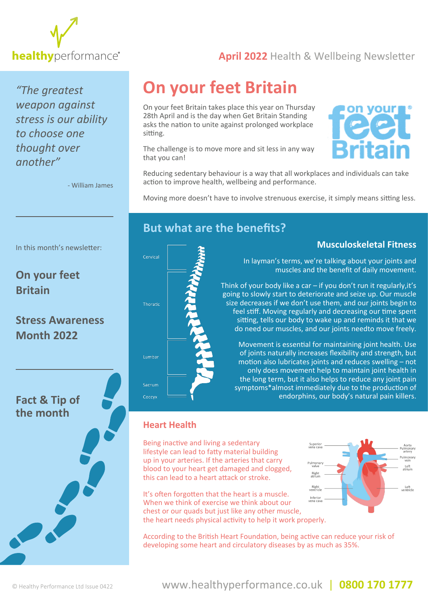

**healthy** [performance](www.healthyperformance.co.uk)<sup>®</sup> and **April 2022** Health & Wellbeing Newsletter

*"The greatest weapon against stress is our ability to choose one thought over another"*

In this month's newsletter:

**[Stress Awareness](#page-3-0)** 

**On your feet** 

**Month 2022**

**[Fact & Tip of](#page-3-0)  the month**

**Britain**

- William James

# **On your feet Britain**

On your feet Britain takes place this year on Thursday 28th April and is the day when Get Britain Standing asks the nation to unite against prolonged workplace sitting.

The challenge is to move more and sit less in any way that you can!



Reducing sedentary behaviour is a way that all workplaces and individuals can take action to improve health, wellbeing and performance.

Moving more doesn't have to involve strenuous exercise, it simply means sitting less.

### **But what are the benefits?**



### **Musculoskeletal Fitness**

Left

Left<br>entricle

In layman's terms, we're talking about your joints and muscles and the benefit of daily movement.

Think of your body like a car – if you don't run it regularly,it's going to slowly start to deteriorate and seize up. Our muscle size decreases if we don't use them, and our joints begin to feel stiff. Moving regularly and decreasing our time spent sitting, tells our body to wake up and reminds it that we do need our muscles, and our joints needto move freely.

Movement is essential for maintaining joint health. Use of joints naturally increases flexibility and strength, but motion also lubricates joints and reduces swelling – not only does movement help to maintain joint health in the long term, but it also helps to reduce any joint pain symptoms\*almost immediately due to the production of endorphins, our body's natural pain killers.

Superior<br>Superior

Pulmonar

Right<br>atrium

### **Heart Health**

Being inactive and living a sedentary lifestyle can lead to fatty material building up in your arteries. If the arteries that carry blood to your heart get damaged and clogged, this can lead to a heart attack or stroke.

Right<br>ventricle It's often forgotten that the heart is a muscle. Inferior<br>vena cava When we think of exercise we think about our chest or our quads but just like any other muscle, the heart needs physical activity to help it work properly.

According to the British Heart Foundation, being active can reduce your risk of developing some heart and circulatory diseases by as much as 35%.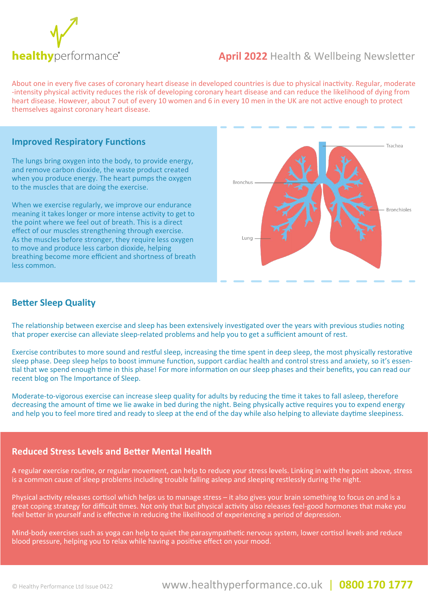

### **healthy** [performance](www.healthyperformance.co.uk) **April 2022** Health & Wellbeing Newsletter

About one in every five cases of coronary heart disease in developed countries is due to physical inactivity. Regular, moderate -intensity physical activity reduces the risk of developing coronary heart disease and can reduce the likelihood of dying from heart disease. However, about 7 out of every 10 women and 6 in every 10 men in the UK are not active enough to protect themselves against coronary heart disease.

#### **Improved Respiratory Functions**

The lungs bring oxygen into the body, to provide energy, and remove carbon dioxide, the waste product created when you produce energy. The heart pumps the oxygen to the muscles that are doing the exercise.

When we exercise regularly, we improve our endurance meaning it takes longer or more intense activity to get to the point where we feel out of breath. This is a direct effect of our muscles strengthening through exercise. As the muscles before stronger, they require less oxygen to move and produce less carbon dioxide, helping breathing become more efficient and shortness of breath less common.



### **Better Sleep Quality**

The relationship between exercise and sleep has been extensively investigated over the years with previous studies noting that proper exercise can alleviate sleep-related problems and help you to get a sufficient amount of rest.

Exercise contributes to more sound and restful sleep, increasing the time spent in deep sleep, the most physically restorative sleep phase. Deep sleep helps to boost immune function, support cardiac health and control stress and anxiety, so it's essential that we spend enough time in this phase! For more information on our sleep phases and their benefits, you can read our recent blog on The Importance of Sleep.

Moderate-to-vigorous exercise can increase sleep quality for adults by reducing the time it takes to fall asleep, therefore decreasing the amount of time we lie awake in bed during the night. Being physically active requires you to expend energy and help you to feel more tired and ready to sleep at the end of the day while also helping to alleviate daytime sleepiness.

#### **Reduced Stress Levels and Better Mental Health**

A regular exercise routine, or regular movement, can help to reduce your stress levels. Linking in with the point above, stress is a common cause of sleep problems including trouble falling asleep and sleeping restlessly during the night.

Physical activity releases cortisol which helps us to manage stress – it also gives your brain something to focus on and is a great coping strategy for difficult times. Not only that but physical activity also releases feel-good hormones that make you feel better in yourself and is effective in reducing the likelihood of experiencing a period of depression.

Mind-body exercises such as yoga can help to quiet the parasympathetic nervous system, lower cortisol levels and reduce blood pressure, helping you to relax while having a positive effect on your mood.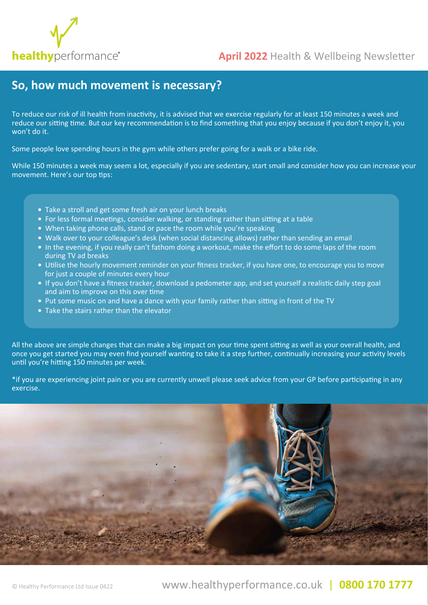

## **healthy** [performance](www.healthyperformance.co.uk)<sup>®</sup> **April 2022** Health & Wellbeing Newsletter

### **So, how much movement is necessary?**

To reduce our risk of ill health from inactivity, it is advised that we exercise regularly for at least 150 minutes a week and reduce our sitting time. But our key recommendation is to find something that you enjoy because if you don't enjoy it, you won't do it.

Some people love spending hours in the gym while others prefer going for a walk or a bike ride.

While 150 minutes a week may seem a lot, especially if you are sedentary, start small and consider how you can increase your movement. Here's our top tips:

- Take a stroll and get some fresh air on your lunch breaks
- For less formal meetings, consider walking, or standing rather than sitting at a table
- When taking phone calls, stand or pace the room while you're speaking
- Walk over to your colleague's desk (when social distancing allows) rather than sending an email
- In the evening, if you really can't fathom doing a workout, make the effort to do some laps of the room during TV ad breaks
- Utilise the hourly movement reminder on your fitness tracker, if you have one, to encourage you to move for just a couple of minutes every hour
- If you don't have a fitness tracker, download a pedometer app, and set yourself a realistic daily step goal and aim to improve on this over time
- Put some music on and have a dance with your family rather than sitting in front of the TV
- Take the stairs rather than the elevator

All the above are simple changes that can make a big impact on your time spent sitting as well as your overall health, and once you get started you may even find yourself wanting to take it a step further, continually increasing your activity levels until you're hitting 150 minutes per week.

\*if you are experiencing joint pain or you are currently unwell please seek advice from your GP before participating in any exercise.